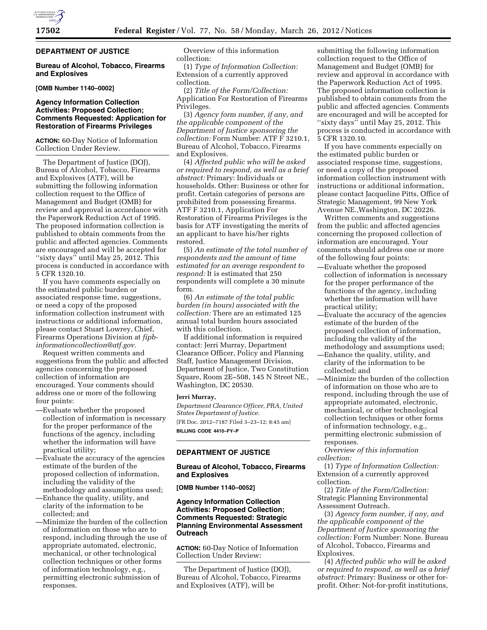# **DEPARTMENT OF JUSTICE**

**Bureau of Alcohol, Tobacco, Firearms and Explosives** 

### **[OMB Number 1140–0002]**

# **Agency Information Collection Activities: Proposed Collection; Comments Requested: Application for Restoration of Firearms Privileges**

**ACTION:** 60-Day Notice of Information Collection Under Review.

The Department of Justice (DOJ), Bureau of Alcohol, Tobacco, Firearms and Explosives (ATF), will be submitting the following information collection request to the Office of Management and Budget (OMB) for review and approval in accordance with the Paperwork Reduction Act of 1995. The proposed information collection is published to obtain comments from the public and affected agencies. Comments are encouraged and will be accepted for ''sixty days'' until May 25, 2012. This process is conducted in accordance with 5 CFR 1320.10.

If you have comments especially on the estimated public burden or associated response time, suggestions, or need a copy of the proposed information collection instrument with instructions or additional information, please contact Stuart Lowrey, Chief, Firearms Operations Division at *[fipb](mailto:fipb-informationcollection@atf.gov)[informationcollection@atf.gov.](mailto:fipb-informationcollection@atf.gov)* 

Request written comments and suggestions from the public and affected agencies concerning the proposed collection of information are encouraged. Your comments should address one or more of the following four points:

- —Evaluate whether the proposed collection of information is necessary for the proper performance of the functions of the agency, including whether the information will have practical utility;
- —Evaluate the accuracy of the agencies estimate of the burden of the proposed collection of information, including the validity of the methodology and assumptions used;
- —Enhance the quality, utility, and clarity of the information to be collected; and

—Minimize the burden of the collection of information on those who are to respond, including through the use of appropriate automated, electronic, mechanical, or other technological collection techniques or other forms of information technology, e.g., permitting electronic submission of responses.

Overview of this information collection:

(1) *Type of Information Collection:*  Extension of a currently approved collection.

(2) *Title of the Form/Collection:*  Application For Restoration of Firearms Privileges.

(3) *Agency form number, if any, and the applicable component of the Department of Justice sponsoring the collection:* Form Number: ATF F 3210.1, Bureau of Alcohol, Tobacco, Firearms and Explosives.

(4) *Affected public who will be asked or required to respond, as well as a brief abstract:* Primary: Individuals or households. Other: Business or other for profit. Certain categories of persons are prohibited from possessing firearms. ATF F 3210.1, Application For Restoration of Firearms Privileges is the basis for ATF investigating the merits of an applicant to have his/her rights restored.

(5) *An estimate of the total number of respondents and the amount of time estimated for an average respondent to respond:* It is estimated that 250 respondents will complete a 30 minute form.

(6) *An estimate of the total public burden (in hours) associated with the collection:* There are an estimated 125 annual total burden hours associated with this collection.

If additional information is required contact: Jerri Murray, Department Clearance Officer, Policy and Planning Staff, Justice Management Division, Department of Justice, Two Constitution Square, Room 2E–508, 145 N Street NE., Washington, DC 20530.

# **Jerri Murray,**

*Department Clearance Officer, PRA, United States Department of Justice.*  [FR Doc. 2012–7187 Filed 3–23–12; 8:45 am] **BILLING CODE 4410–FY–P** 

### **DEPARTMENT OF JUSTICE**

### **Bureau of Alcohol, Tobacco, Firearms and Explosives**

**[OMB Number 1140–0052]** 

# **Agency Information Collection Activities: Proposed Collection; Comments Requested: Strategic Planning Environmental Assessment Outreach**

**ACTION:** 60-Day Notice of Information Collection Under Review:

The Department of Justice (DOJ), Bureau of Alcohol, Tobacco, Firearms and Explosives (ATF), will be

submitting the following information collection request to the Office of Management and Budget (OMB) for review and approval in accordance with the Paperwork Reduction Act of 1995. The proposed information collection is published to obtain comments from the public and affected agencies. Comments are encouraged and will be accepted for ''sixty days'' until May 25, 2012. This process is conducted in accordance with 5 CFR 1320.10.

If you have comments especially on the estimated public burden or associated response time, suggestions, or need a copy of the proposed information collection instrument with instructions or additional information, please contact Jacqueline Pitts, Office of Strategic Management, 99 New York Avenue NE.,Washington, DC 20226.

Written comments and suggestions from the public and affected agencies concerning the proposed collection of information are encouraged. Your comments should address one or more of the following four points:

- —Evaluate whether the proposed collection of information is necessary for the proper performance of the functions of the agency, including whether the information will have practical utility;
- —Evaluate the accuracy of the agencies estimate of the burden of the proposed collection of information, including the validity of the methodology and assumptions used; —Enhance the quality, utility, and
- clarity of the information to be collected; and
- —Minimize the burden of the collection of information on those who are to respond, including through the use of appropriate automated, electronic, mechanical, or other technological collection techniques or other forms of information technology, e.g., permitting electronic submission of responses.

*Overview of this information collection:* 

(1) *Type of Information Collection:*  Extension of a currently approved collection.

(2) *Title of the Form/Collection:*  Strategic Planning Environmental Assessment Outreach.

(3) *Agency form number, if any, and the applicable component of the Department of Justice sponsoring the collection:* Form Number: None. Bureau of Alcohol, Tobacco, Firearms and Explosives.

(4) *Affected public who will be asked or required to respond, as well as a brief abstract:* Primary: Business or other forprofit. Other: Not-for-profit institutions,